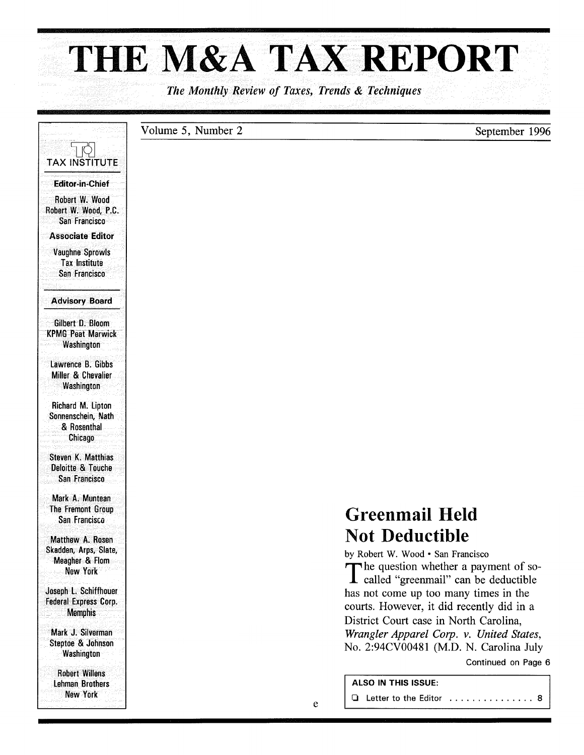# **THE M&A TAX REPORT**

*The Monthly Review of Taxes, Trends* & *Techniques* 

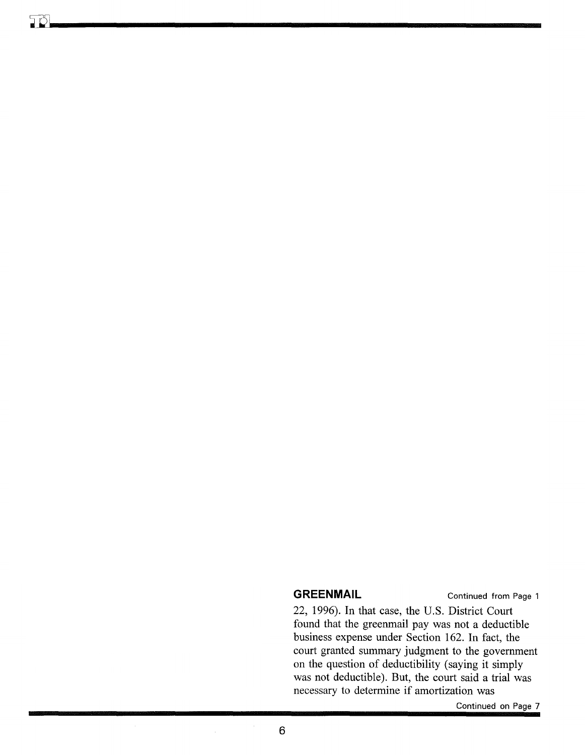#### **GREENMAIL Continued from Page 1**

22, 1996). In that case, the U.S. District Court found that the greenmail pay was not a deductible business expense under Section 162. In fact, the court granted summary judgment to the government on the question of deductibility (saying it simply was not deductible). But, the court said a trial was necessary to determine if amortization was

Continued on Page 7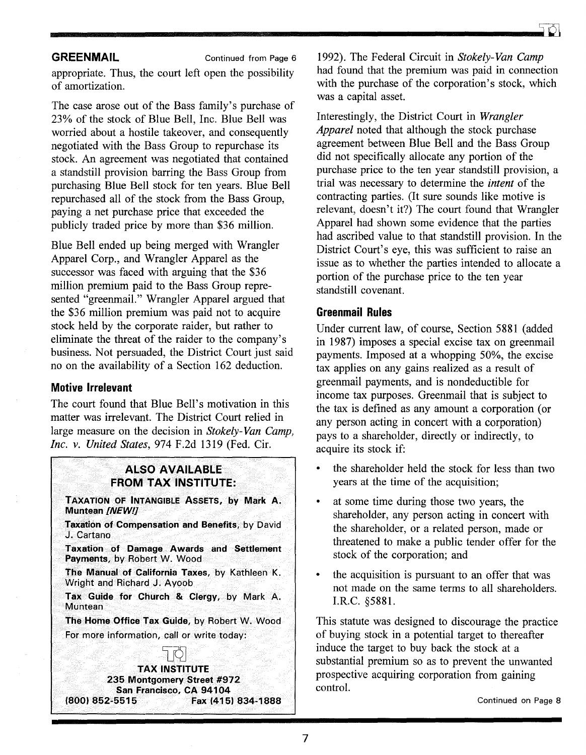# **GREENMAIL** Continued from Page 6

appropriate. Thus, the court left open the possibility of amortization.

The case arose out of the Bass family's purchase of 23% of the stock of Blue Bell, Inc. Blue Bell was worried about a hostile takeover, and consequently negotiated with the Bass Group to repurchase its stock. An agreement was negotiated that contained a standstill provision barring the Bass Group from purchasing Blue Bell stock for ten years. Blue Bell repurchased all of the stock from the Bass Group, paying a net purchase price that exceeded the publicly traded price by more than \$36 million.

Blue Bell ended up being merged with Wrangler Apparel Corp., and Wrangler Apparel as the successor was faced with arguing that the \$36 million premium paid to the Bass Group represented "greenmail." Wrangler Apparel argued that the \$36 million premium was paid not to acquire stock held by the corporate raider, but rather to eliminate the threat of the raider to the company's business. Not persuaded, the District Court just said no on the availability of a Section 162 deduction.

### **Motive Irrelevant**

The court found that Blue Bell's motivation in this matter was irrelevant. The District Court relied in large measure on the decision in *Stokely-Van Camp, Inc. v. United States,* 974 F.2d 1319 (Fed. Cir.

## **ALSO AVAILABLE FROM TAX INSTITUTE:**

TAXATION OF INTANGIBLE ASSETS, by Mark A. Muntean *[NEW!]* 

Taxation of Compensation and Benefits, by David J. Cartano

Taxation of Damage Awards and Settlement Payments, by Robert W. Wood

The Manual of California Taxes, by Kathleen K. Wright and Richard J. Ayoob

Tax Guide for Church & Clergy, by Mark A. **Muntean** 

The Home Office Tax Guide, by Robert W. Wood For more information, call or write today:



1992). The Federal Circuit in *Stokely-Van Camp*  had found that the premium was paid in connection with the purchase of the corporation's stock, which was a capital asset.

Interestingly, the District Court in *Wrangler Apparel* noted that although the stock purchase agreement between Blue Bell and the Bass Group did not specifically allocate any portion of the purchase price to the ten year standstill provision, a trial was necessary to determine the *intent* of the contracting parties. (It sure sounds like motive is relevant, doesn't it?) The court found that Wrangler Apparel had shown some evidence that the parties had ascribed value to that standstill provision. In the District Court's eye, this was sufficient to raise an issue as to whether the parties intended to allocate a portion of the purchase price to the ten year standstill covenant.

# **Greenmail Rules**

Under current law, of course, Section 5881 (added in 1987) imposes a special excise tax on greenmail payments. Imposed at a whopping 50%, the excise tax applies on any gains realized as a result of greenmail payments, and is nondeductible for income tax purposes. Greenmail that is subject to the tax is defined as any amount a corporation (or any person acting in concert with a corporation) pays to a shareholder, directly or indirectly, to acquire its stock if:

- the shareholder held the stock for less than two years at the time of the acquisition;
- at some time during those two years, the shareholder, any person acting in concert with the shareholder, or a related person, made or threatened to make a public tender offer for the stock of the corporation; and
- the acquisition is pursuant to an offer that was not made on the same terms to all shareholders. I.R.C. §5881.

This statute was designed to discourage the practice of buying stock in a potential target to thereafter induce the target to buy back the stock at a substantial premium so as to prevent the unwanted prospective acquiring corporation from gaining control.